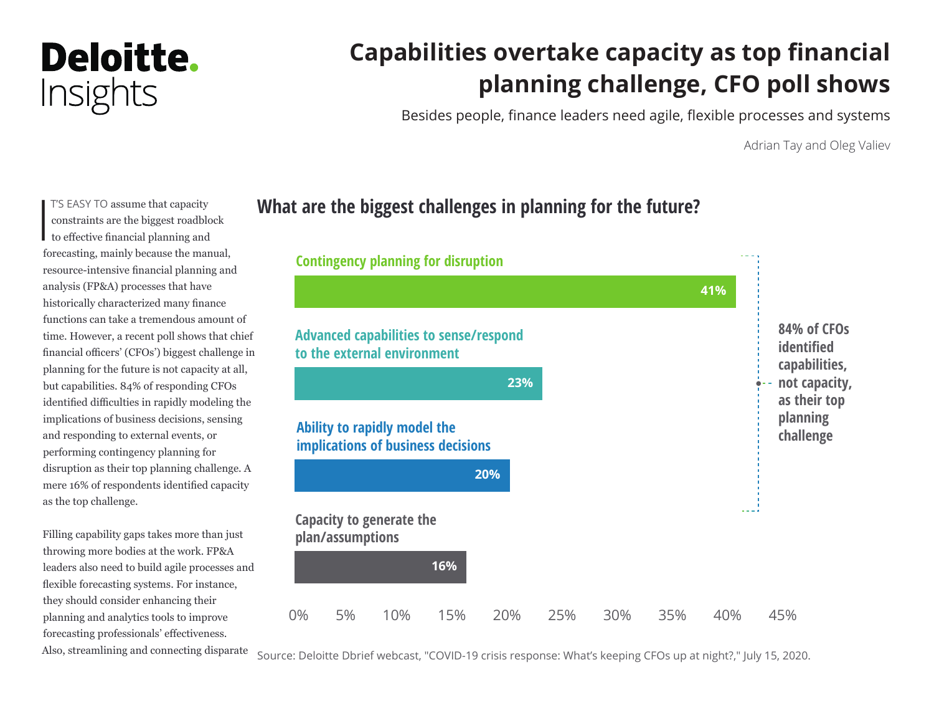## Deloitte. Insights

## **Capabilities overtake capacity as top financial planning challenge, CFO poll shows**

Besides people, finance leaders need agile, flexible processes and systems

Adrian Tay and Oleg Valiev

 $\begin{bmatrix} 1 \\ 1 \\ 1 \end{bmatrix}$ T'S EASY TO assume that capacity constraints are the biggest roadblock to effective financial planning and forecasting, mainly because the manual, resource-intensive financial planning and analysis (FP&A) processes that have historically characterized many finance functions can take a tremendous amount of time. However, a recent poll shows that chief financial officers' (CFOs') biggest challenge in planning for the future is not capacity at all, but capabilities. 84% of responding CFOs identified difficulties in rapidly modeling the implications of business decisions, sensing and responding to external events, or performing contingency planning for disruption as their top planning challenge. A mere 16% of respondents identified capacity as the top challenge.

Filling capability gaps takes more than just throwing more bodies at the work. FP&A leaders also need to build agile processes and flexible forecasting systems. For instance, they should consider enhancing their planning and analytics tools to improve forecasting professionals' effectiveness. Also, streamlining and connecting disparate

### **What are the biggest challenges in planning for the future?**



Source: Deloitte Dbrief webcast, "COVID-19 crisis response: What's keeping CFOs up at night?," July 15, 2020.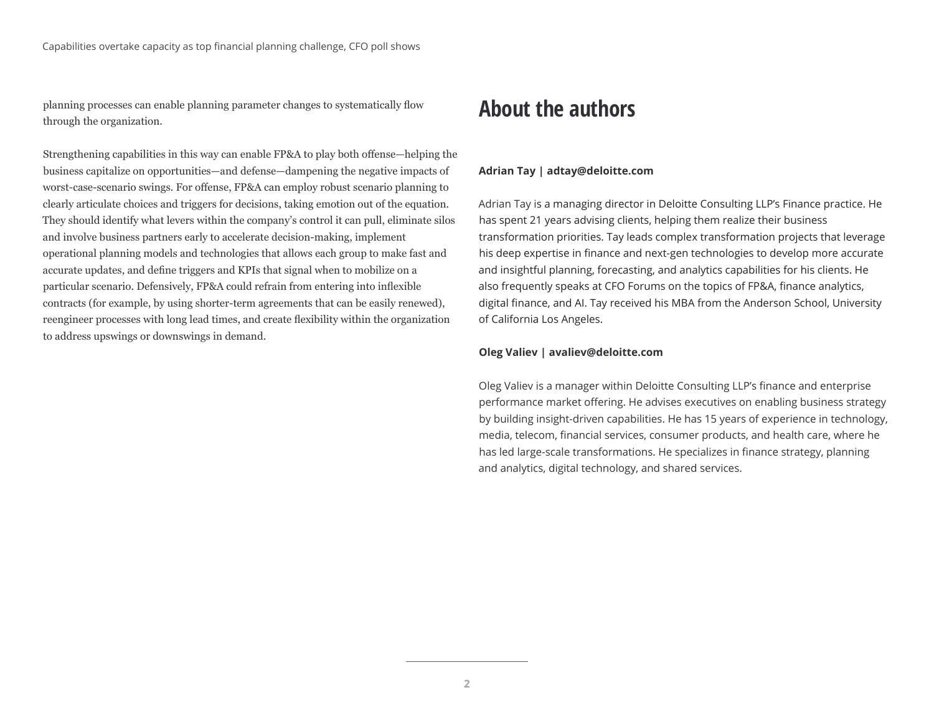planning processes can enable planning parameter changes to systematically flow through the organization.

Strengthening capabilities in this way can enable FP&A to play both offense—helping the business capitalize on opportunities—and defense—dampening the negative impacts of worst-case-scenario swings. For offense, FP&A can employ robust scenario planning to clearly articulate choices and triggers for decisions, taking emotion out of the equation. They should identify what levers within the company's control it can pull, eliminate silos and involve business partners early to accelerate decision-making, implement operational planning models and technologies that allows each group to make fast and accurate updates, and define triggers and KPIs that signal when to mobilize on a particular scenario. Defensively, FP&A could refrain from entering into inflexible contracts (for example, by using shorter-term agreements that can be easily renewed), reengineer processes with long lead times, and create flexibility within the organization to address upswings or downswings in demand.

### **About the authors**

#### **Adrian Tay | adtay@deloitte.com**

Adrian Tay is a managing director in Deloitte Consulting LLP's Finance practice. He has spent 21 years advising clients, helping them realize their business transformation priorities. Tay leads complex transformation projects that leverage his deep expertise in finance and next-gen technologies to develop more accurate and insightful planning, forecasting, and analytics capabilities for his clients. He also frequently speaks at CFO Forums on the topics of FP&A, finance analytics, digital finance, and AI. Tay received his MBA from the Anderson School, University of California Los Angeles.

#### **Oleg Valiev | avaliev@deloitte.com**

Oleg Valiev is a manager within Deloitte Consulting LLP's finance and enterprise performance market offering. He advises executives on enabling business strategy by building insight-driven capabilities. He has 15 years of experience in technology, media, telecom, financial services, consumer products, and health care, where he has led large-scale transformations. He specializes in finance strategy, planning and analytics, digital technology, and shared services.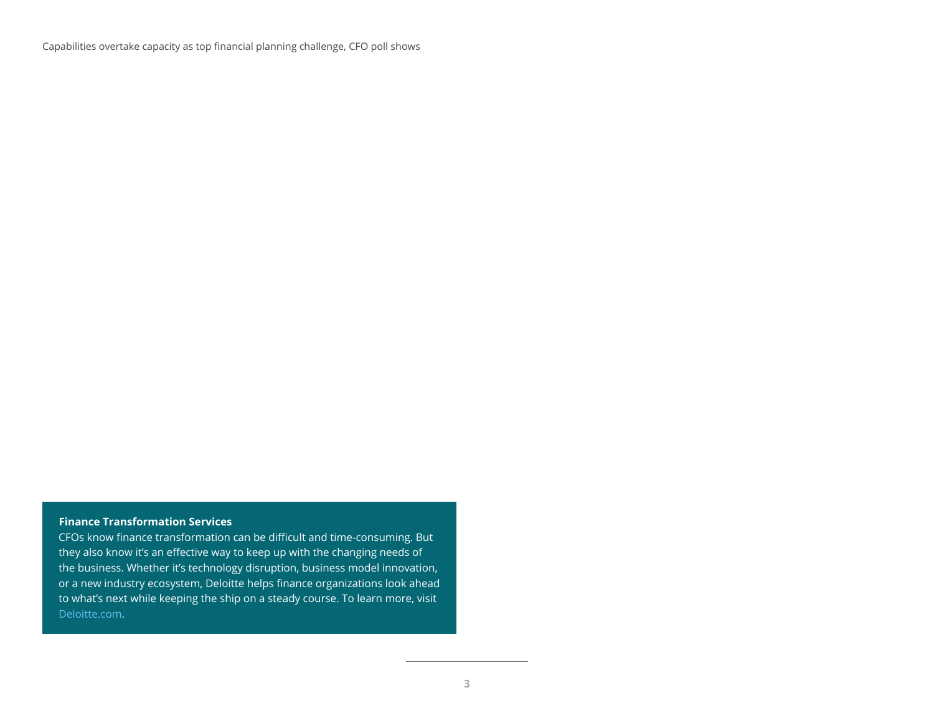#### **Finance Transformation Services**

CFOs know finance transformation can be difficult and time-consuming. But they also know it's an effective way to keep up with the changing needs of the business. Whether it's technology disruption, business model innovation, or a new industry ecosystem, Deloitte helps finance organizations look ahead to what's next while keeping the ship on a steady course. To learn more, visit [Deloitte.com](https://www2.deloitte.com/us/en/pages/finance-transformation/solutions/finance-transformation-services-offerings.html).